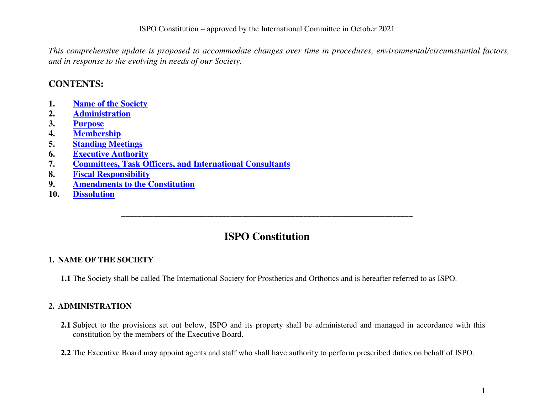*This comprehensive update is proposed to accommodate changes over time in procedures, environmental/circumstantial factors, and in response to the evolving in needs of our Society.* 

## **CONTENTS:**

- **1. [Name of the Society](#page-0-0)**
- **2. [Administration](#page-0-1)**
- **3. [Purpose](#page-1-0)**
- **4. [Membership](#page-2-0)**
- **5. [Standing Meetings](#page-6-0)**
- **6. [Executive Authority](#page-7-0)**
- **7. [Committees, Task Officers, and International Consultants](#page-10-0)**
- **8. [Fiscal Responsibility](#page-12-0)**
- **9. [Amendments to the Constitution](#page-13-0)**
- **10. [Dissolution](#page-13-1)**

# **ISPO Constitution**

**\_\_\_\_\_\_\_\_\_\_\_\_\_\_\_\_\_\_\_\_\_\_\_\_\_\_\_\_\_\_\_\_\_\_\_\_\_\_\_\_\_\_\_\_\_\_\_\_\_\_\_\_\_\_\_\_\_\_\_\_\_\_\_\_\_\_\_\_\_\_\_\_** 

## <span id="page-0-0"></span>**1. NAME OF THE SOCIETY**

**1.1** The Society shall be called The International Society for Prosthetics and Orthotics and is hereafter referred to as ISPO.

## <span id="page-0-1"></span>**2. ADMINISTRATION**

**2.1** Subject to the provisions set out below, ISPO and its property shall be administered and managed in accordance with this constitution by the members of the Executive Board.

**2.2** The Executive Board may appoint agents and staff who shall have authority to perform prescribed duties on behalf of ISPO.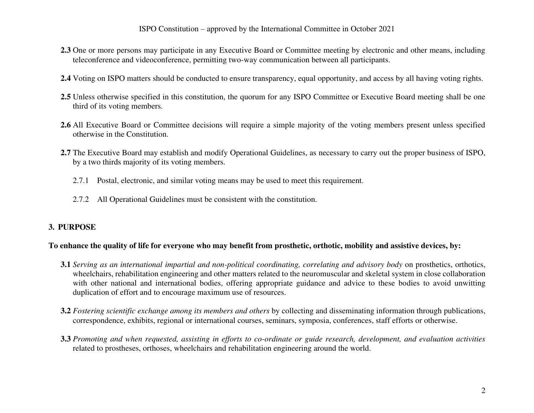- **2.3** One or more persons may participate in any Executive Board or Committee meeting by electronic and other means, including teleconference and videoconference, permitting two-way communication between all participants.
- **2.4** Voting on ISPO matters should be conducted to ensure transparency, equal opportunity, and access by all having voting rights.
- **2.5** Unless otherwise specified in this constitution, the quorum for any ISPO Committee or Executive Board meeting shall be one third of its voting members.
- **2.6** All Executive Board or Committee decisions will require a simple majority of the voting members present unless specified otherwise in the Constitution.
- **2.7** The Executive Board may establish and modify Operational Guidelines, as necessary to carry out the proper business of ISPO, by a two thirds majority of its voting members.
	- 2.7.1 Postal, electronic, and similar voting means may be used to meet this requirement.
	- 2.7.2 All Operational Guidelines must be consistent with the constitution.

#### <span id="page-1-0"></span>**3. PURPOSE**

#### **To enhance the quality of life for everyone who may benefit from prosthetic, orthotic, mobility and assistive devices, by:**

- **3.1** *Serving as an international impartial and non-political coordinating, correlating and advisory body* on prosthetics, orthotics, wheelchairs, rehabilitation engineering and other matters related to the neuromuscular and skeletal system in close collaboration with other national and international bodies, offering appropriate guidance and advice to these bodies to avoid unwitting duplication of effort and to encourage maximum use of resources.
- **3.2** *Fostering scientific exchange among its members and others* by collecting and disseminating information through publications, correspondence, exhibits, regional or international courses, seminars, symposia, conferences, staff efforts or otherwise.
- **3.3** *Promoting and when requested, assisting in efforts to co-ordinate or guide research, development, and evaluation activities* related to prostheses, orthoses, wheelchairs and rehabilitation engineering around the world.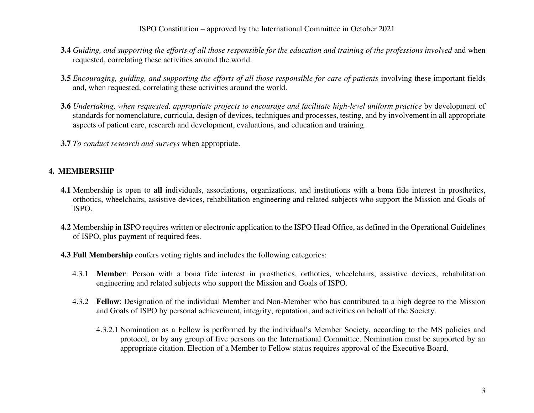- **3.4** *Guiding, and supporting the efforts of all those responsible for the education and training of the professions involved* and when requested, correlating these activities around the world.
- **3.5** *Encouraging, guiding, and supporting the efforts of all those responsible for care of patients* involving these important fields and, when requested, correlating these activities around the world.
- **3.6** *Undertaking, when requested, appropriate projects to encourage and facilitate high-level uniform practice* by development of standards for nomenclature, curricula, design of devices, techniques and processes, testing, and by involvement in all appropriate aspects of patient care, research and development, evaluations, and education and training.
- **3.7** *To conduct research and surveys* when appropriate.

## <span id="page-2-0"></span>**4. MEMBERSHIP**

- **4.1** Membership is open to **all** individuals, associations, organizations, and institutions with a bona fide interest in prosthetics, orthotics, wheelchairs, assistive devices, rehabilitation engineering and related subjects who support the Mission and Goals of ISPO.
- **4.2** Membership in ISPO requires written or electronic application to the ISPO Head Office, as defined in the Operational Guidelines of ISPO, plus payment of required fees.
- **4.3 Full Membership** confers voting rights and includes the following categories:
	- 4.3.1 **Member**: Person with a bona fide interest in prosthetics, orthotics, wheelchairs, assistive devices, rehabilitation engineering and related subjects who support the Mission and Goals of ISPO.
	- 4.3.2 **Fellow**: Designation of the individual Member and Non-Member who has contributed to a high degree to the Mission and Goals of ISPO by personal achievement, integrity, reputation, and activities on behalf of the Society.
		- 4.3.2.1 Nomination as a Fellow is performed by the individual's Member Society, according to the MS policies and protocol, or by any group of five persons on the International Committee. Nomination must be supported by an appropriate citation. Election of a Member to Fellow status requires approval of the Executive Board.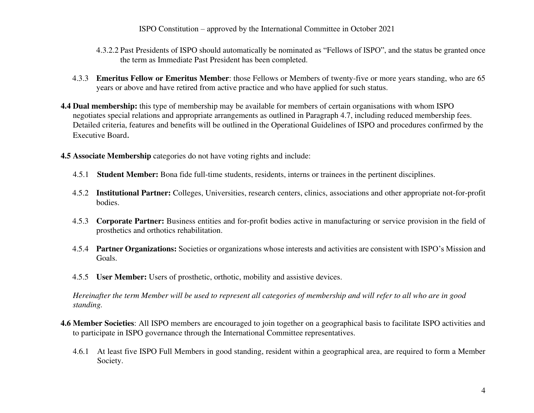- 4.3.2.2 Past Presidents of ISPO should automatically be nominated as "Fellows of ISPO", and the status be granted once the term as Immediate Past President has been completed.
- 4.3.3 **Emeritus Fellow or Emeritus Member**: those Fellows or Members of twenty-five or more years standing, who are 65 years or above and have retired from active practice and who have applied for such status.
- **4.4 Dual membership:** this type of membership may be available for members of certain organisations with whom ISPO negotiates special relations and appropriate arrangements as outlined in Paragraph 4.7, including reduced membership fees. Detailed criteria, features and benefits will be outlined in the Operational Guidelines of ISPO and procedures confirmed by the Executive Board.
- **4.5 Associate Membership** categories do not have voting rights and include:
	- 4.5.1 **Student Member:** Bona fide full-time students, residents, interns or trainees in the pertinent disciplines.
	- 4.5.2 **Institutional Partner:** Colleges, Universities, research centers, clinics, associations and other appropriate not-for-profit bodies.
	- 4.5.3 **Corporate Partner:** Business entities and for-profit bodies active in manufacturing or service provision in the field of prosthetics and orthotics rehabilitation.
	- 4.5.4 **Partner Organizations:** Societies or organizations whose interests and activities are consistent with ISPO's Mission and Goals.
	- 4.5.5 **User Member:** Users of prosthetic, orthotic, mobility and assistive devices.

*Hereinafter the term Member will be used to represent all categories of membership and will refer to all who are in good standing.* 

- **4.6 Member Societies**: All ISPO members are encouraged to join together on a geographical basis to facilitate ISPO activities and to participate in ISPO governance through the International Committee representatives.
	- 4.6.1 At least five ISPO Full Members in good standing, resident within a geographical area, are required to form a Member Society.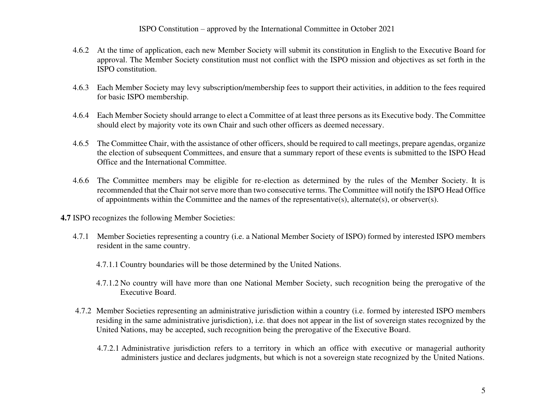- 4.6.2 At the time of application, each new Member Society will submit its constitution in English to the Executive Board for approval. The Member Society constitution must not conflict with the ISPO mission and objectives as set forth in the ISPO constitution.
- 4.6.3 Each Member Society may levy subscription/membership fees to support their activities, in addition to the fees required for basic ISPO membership.
- 4.6.4 Each Member Society should arrange to elect a Committee of at least three persons as its Executive body. The Committee should elect by majority vote its own Chair and such other officers as deemed necessary.
- 4.6.5 The Committee Chair, with the assistance of other officers, should be required to call meetings, prepare agendas, organize the election of subsequent Committees, and ensure that a summary report of these events is submitted to the ISPO Head Office and the International Committee.
- 4.6.6 The Committee members may be eligible for re-election as determined by the rules of the Member Society. It is recommended that the Chair not serve more than two consecutive terms. The Committee will notify the ISPO Head Office of appointments within the Committee and the names of the representative(s), alternate(s), or observer(s).
- **4.7** ISPO recognizes the following Member Societies:
	- 4.7.1 Member Societies representing a country (i.e. a National Member Society of ISPO) formed by interested ISPO members resident in the same country.
		- 4.7.1.1 Country boundaries will be those determined by the United Nations.
		- 4.7.1.2 No country will have more than one National Member Society, such recognition being the prerogative of the Executive Board.
	- 4.7.2 Member Societies representing an administrative jurisdiction within a country (i.e. formed by interested ISPO members residing in the same administrative jurisdiction), i.e. that does not appear in the list of sovereign states recognized by the United Nations, may be accepted, such recognition being the prerogative of the Executive Board.
		- 4.7.2.1 Administrative jurisdiction refers to a territory in which an office with executive or managerial authority administers justice and declares judgments, but which is not a sovereign state recognized by the United Nations.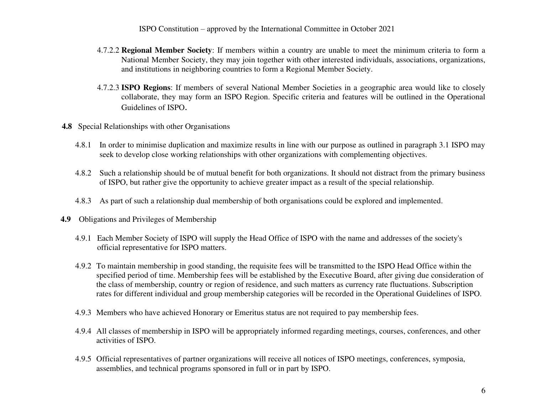- 4.7.2.2 **Regional Member Society**: If members within a country are unable to meet the minimum criteria to form a National Member Society, they may join together with other interested individuals, associations, organizations, and institutions in neighboring countries to form a Regional Member Society.
- 4.7.2.3 **ISPO Regions**: If members of several National Member Societies in a geographic area would like to closely collaborate, they may form an ISPO Region. Specific criteria and features will be outlined in the Operational Guidelines of ISPO.
- **4.8** Special Relationships with other Organisations
	- 4.8.1 In order to minimise duplication and maximize results in line with our purpose as outlined in paragraph 3.1 ISPO may seek to develop close working relationships with other organizations with complementing objectives.
	- 4.8.2 Such a relationship should be of mutual benefit for both organizations. It should not distract from the primary business of ISPO, but rather give the opportunity to achieve greater impact as a result of the special relationship.
	- 4.8.3 As part of such a relationship dual membership of both organisations could be explored and implemented.
- **4.9** Obligations and Privileges of Membership
	- 4.9.1 Each Member Society of ISPO will supply the Head Office of ISPO with the name and addresses of the society's official representative for ISPO matters.
	- 4.9.2 To maintain membership in good standing, the requisite fees will be transmitted to the ISPO Head Office within the specified period of time. Membership fees will be established by the Executive Board, after giving due consideration of the class of membership, country or region of residence, and such matters as currency rate fluctuations. Subscription rates for different individual and group membership categories will be recorded in the Operational Guidelines of ISPO.
	- 4.9.3 Members who have achieved Honorary or Emeritus status are not required to pay membership fees.
	- 4.9.4 All classes of membership in ISPO will be appropriately informed regarding meetings, courses, conferences, and other activities of ISPO.
	- 4.9.5 Official representatives of partner organizations will receive all notices of ISPO meetings, conferences, symposia, assemblies, and technical programs sponsored in full or in part by ISPO.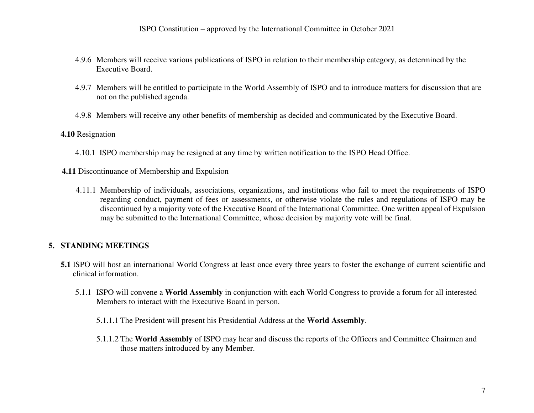- 4.9.6 Members will receive various publications of ISPO in relation to their membership category, as determined by the Executive Board.
- 4.9.7 Members will be entitled to participate in the World Assembly of ISPO and to introduce matters for discussion that are not on the published agenda.
- 4.9.8 Members will receive any other benefits of membership as decided and communicated by the Executive Board.

#### **4.10** Resignation

4.10.1 ISPO membership may be resigned at any time by written notification to the ISPO Head Office.

**4.11** Discontinuance of Membership and Expulsion

4.11.1 Membership of individuals, associations, organizations, and institutions who fail to meet the requirements of ISPO regarding conduct, payment of fees or assessments, or otherwise violate the rules and regulations of ISPO may be discontinued by a majority vote of the Executive Board of the International Committee. One written appeal of Expulsion may be submitted to the International Committee, whose decision by majority vote will be final.

## <span id="page-6-0"></span>**5. STANDING MEETINGS**

- **5.1** ISPO will host an international World Congress at least once every three years to foster the exchange of current scientific and clinical information.
	- 5.1.1 ISPO will convene a **World Assembly** in conjunction with each World Congress to provide a forum for all interested Members to interact with the Executive Board in person.
		- 5.1.1.1 The President will present his Presidential Address at the **World Assembly**.
		- 5.1.1.2 The **World Assembly** of ISPO may hear and discuss the reports of the Officers and Committee Chairmen and those matters introduced by any Member.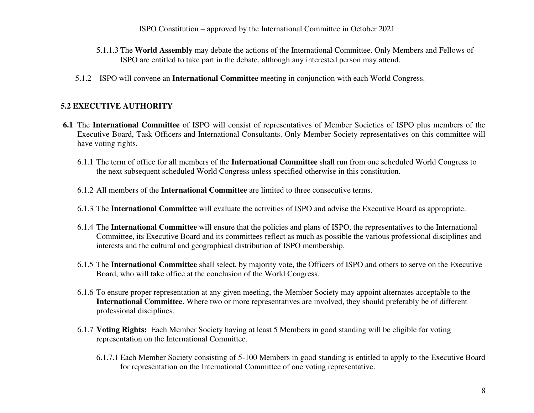- 5.1.1.3 The **World Assembly** may debate the actions of the International Committee. Only Members and Fellows of ISPO are entitled to take part in the debate, although any interested person may attend.
- 5.1.2 ISPO will convene an **International Committee** meeting in conjunction with each World Congress.

## <span id="page-7-0"></span>**5.2 EXECUTIVE AUTHORITY**

- **6.1** The **International Committee** of ISPO will consist of representatives of Member Societies of ISPO plus members of the Executive Board, Task Officers and International Consultants. Only Member Society representatives on this committee will have voting rights.
	- 6.1.1 The term of office for all members of the **International Committee** shall run from one scheduled World Congress to the next subsequent scheduled World Congress unless specified otherwise in this constitution.
	- 6.1.2 All members of the **International Committee** are limited to three consecutive terms.
	- 6.1.3 The **International Committee** will evaluate the activities of ISPO and advise the Executive Board as appropriate.
	- 6.1.4 The **International Committee** will ensure that the policies and plans of ISPO, the representatives to the International Committee, its Executive Board and its committees reflect as much as possible the various professional disciplines and interests and the cultural and geographical distribution of ISPO membership.
	- 6.1.5 The **International Committee** shall select, by majority vote, the Officers of ISPO and others to serve on the Executive Board, who will take office at the conclusion of the World Congress.
	- 6.1.6 To ensure proper representation at any given meeting, the Member Society may appoint alternates acceptable to the **International Committee**. Where two or more representatives are involved, they should preferably be of different professional disciplines.
	- 6.1.7 **Voting Rights:** Each Member Society having at least 5 Members in good standing will be eligible for voting representation on the International Committee.
		- 6.1.7.1 Each Member Society consisting of 5-100 Members in good standing is entitled to apply to the Executive Board for representation on the International Committee of one voting representative.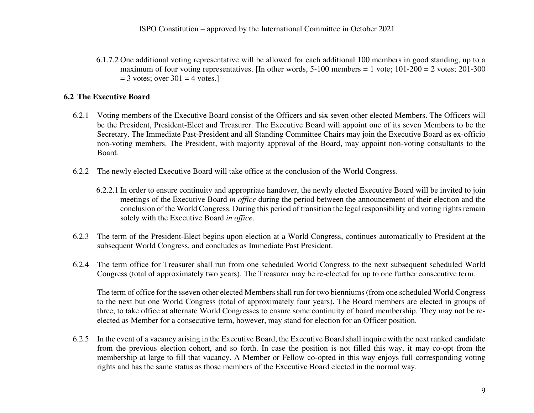6.1.7.2 One additional voting representative will be allowed for each additional 100 members in good standing, up to a maximum of four voting representatives. [In other words,  $5-100$  members = 1 vote;  $101-200 = 2$  votes;  $201-300$  $=$  3 votes; over 301  $=$  4 votes.]

### **6.2 The Executive Board**

- 6.2.1 Voting members of the Executive Board consist of the Officers and six seven other elected Members. The Officers will be the President, President-Elect and Treasurer. The Executive Board will appoint one of its seven Members to be the Secretary. The Immediate Past-President and all Standing Committee Chairs may join the Executive Board as ex-officio non-voting members. The President, with majority approval of the Board, may appoint non-voting consultants to the Board.
- 6.2.2 The newly elected Executive Board will take office at the conclusion of the World Congress.
	- 6.2.2.1 In order to ensure continuity and appropriate handover, the newly elected Executive Board will be invited to join meetings of the Executive Board *in office* during the period between the announcement of their election and the conclusion of the World Congress. During this period of transition the legal responsibility and voting rights remain solely with the Executive Board *in office*.
- 6.2.3 The term of the President-Elect begins upon election at a World Congress, continues automatically to President at the subsequent World Congress, and concludes as Immediate Past President.
- 6.2.4 The term office for Treasurer shall run from one scheduled World Congress to the next subsequent scheduled World Congress (total of approximately two years). The Treasurer may be re-elected for up to one further consecutive term.

The term of office for the sseven other elected Members shall run for two bienniums (from one scheduled World Congress to the next but one World Congress (total of approximately four years). The Board members are elected in groups of three, to take office at alternate World Congresses to ensure some continuity of board membership. They may not be reelected as Member for a consecutive term, however, may stand for election for an Officer position.

6.2.5 In the event of a vacancy arising in the Executive Board, the Executive Board shall inquire with the next ranked candidate from the previous election cohort, and so forth. In case the position is not filled this way, it may co-opt from the membership at large to fill that vacancy. A Member or Fellow co-opted in this way enjoys full corresponding voting rights and has the same status as those members of the Executive Board elected in the normal way.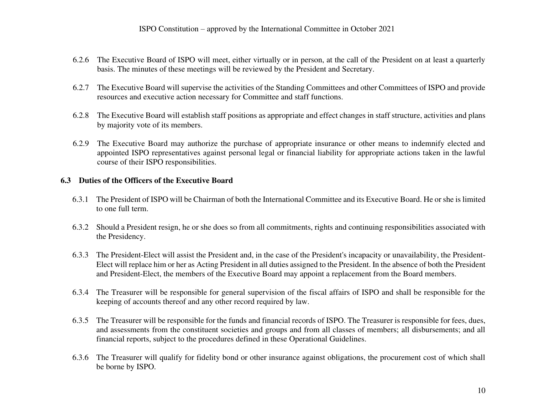- 6.2.6 The Executive Board of ISPO will meet, either virtually or in person, at the call of the President on at least a quarterly basis. The minutes of these meetings will be reviewed by the President and Secretary.
- 6.2.7 The Executive Board will supervise the activities of the Standing Committees and other Committees of ISPO and provide resources and executive action necessary for Committee and staff functions.
- 6.2.8 The Executive Board will establish staff positions as appropriate and effect changes in staff structure, activities and plans by majority vote of its members.
- 6.2.9 The Executive Board may authorize the purchase of appropriate insurance or other means to indemnify elected and appointed ISPO representatives against personal legal or financial liability for appropriate actions taken in the lawful course of their ISPO responsibilities.

#### **6.3 Duties of the Officers of the Executive Board**

- 6.3.1 The President of ISPO will be Chairman of both the International Committee and its Executive Board. He or she is limited to one full term.
- 6.3.2 Should a President resign, he or she does so from all commitments, rights and continuing responsibilities associated with the Presidency.
- 6.3.3 The President-Elect will assist the President and, in the case of the President's incapacity or unavailability, the President-Elect will replace him or her as Acting President in all duties assigned to the President. In the absence of both the President and President-Elect, the members of the Executive Board may appoint a replacement from the Board members.
- 6.3.4 The Treasurer will be responsible for general supervision of the fiscal affairs of ISPO and shall be responsible for the keeping of accounts thereof and any other record required by law.
- 6.3.5 The Treasurer will be responsible for the funds and financial records of ISPO. The Treasurer is responsible for fees, dues, and assessments from the constituent societies and groups and from all classes of members; all disbursements; and all financial reports, subject to the procedures defined in these Operational Guidelines.
- 6.3.6 The Treasurer will qualify for fidelity bond or other insurance against obligations, the procurement cost of which shall be borne by ISPO.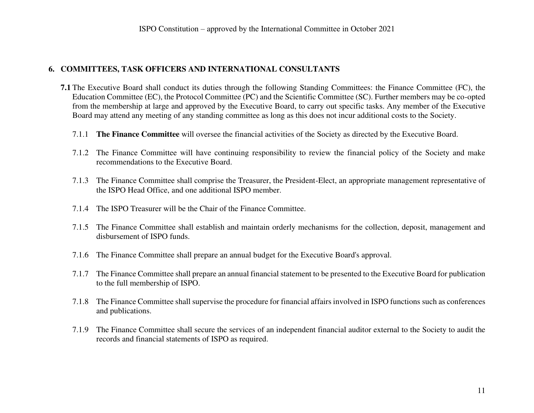### <span id="page-10-0"></span>**6. COMMITTEES, TASK OFFICERS AND INTERNATIONAL CONSULTANTS**

- **7.1** The Executive Board shall conduct its duties through the following Standing Committees: the Finance Committee (FC), the Education Committee (EC), the Protocol Committee (PC) and the Scientific Committee (SC). Further members may be co-opted from the membership at large and approved by the Executive Board, to carry out specific tasks. Any member of the Executive Board may attend any meeting of any standing committee as long as this does not incur additional costs to the Society.
	- 7.1.1 **The Finance Committee** will oversee the financial activities of the Society as directed by the Executive Board.
	- 7.1.2 The Finance Committee will have continuing responsibility to review the financial policy of the Society and make recommendations to the Executive Board.
	- 7.1.3 The Finance Committee shall comprise the Treasurer, the President-Elect, an appropriate management representative of the ISPO Head Office, and one additional ISPO member.
	- 7.1.4 The ISPO Treasurer will be the Chair of the Finance Committee.
	- 7.1.5 The Finance Committee shall establish and maintain orderly mechanisms for the collection, deposit, management and disbursement of ISPO funds.
	- 7.1.6 The Finance Committee shall prepare an annual budget for the Executive Board's approval.
	- 7.1.7 The Finance Committee shall prepare an annual financial statement to be presented to the Executive Board for publication to the full membership of ISPO.
	- 7.1.8 The Finance Committee shall supervise the procedure for financial affairs involved in ISPO functions such as conferences and publications.
	- 7.1.9 The Finance Committee shall secure the services of an independent financial auditor external to the Society to audit the records and financial statements of ISPO as required.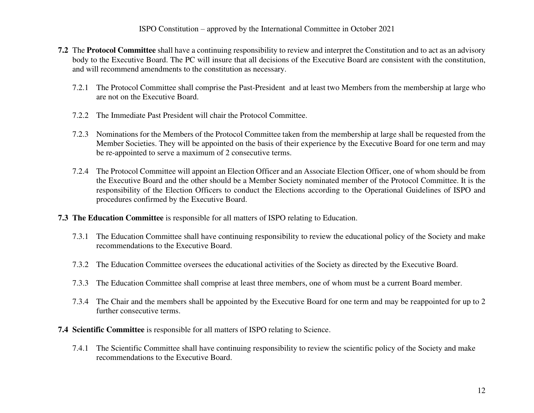- **7.2** The **Protocol Committee** shall have a continuing responsibility to review and interpret the Constitution and to act as an advisory body to the Executive Board. The PC will insure that all decisions of the Executive Board are consistent with the constitution, and will recommend amendments to the constitution as necessary.
	- 7.2.1 The Protocol Committee shall comprise the Past-President and at least two Members from the membership at large who are not on the Executive Board.
	- 7.2.2 The Immediate Past President will chair the Protocol Committee.
	- 7.2.3 Nominations for the Members of the Protocol Committee taken from the membership at large shall be requested from the Member Societies. They will be appointed on the basis of their experience by the Executive Board for one term and may be re-appointed to serve a maximum of 2 consecutive terms.
	- 7.2.4 The Protocol Committee will appoint an Election Officer and an Associate Election Officer, one of whom should be from the Executive Board and the other should be a Member Society nominated member of the Protocol Committee. It is the responsibility of the Election Officers to conduct the Elections according to the Operational Guidelines of ISPO and procedures confirmed by the Executive Board.
- **7.3 The Education Committee** is responsible for all matters of ISPO relating to Education.
	- 7.3.1 The Education Committee shall have continuing responsibility to review the educational policy of the Society and make recommendations to the Executive Board.
	- 7.3.2 The Education Committee oversees the educational activities of the Society as directed by the Executive Board.
	- 7.3.3 The Education Committee shall comprise at least three members, one of whom must be a current Board member.
	- 7.3.4 The Chair and the members shall be appointed by the Executive Board for one term and may be reappointed for up to 2 further consecutive terms.
- **7.4 Scientific Committee** is responsible for all matters of ISPO relating to Science.
	- 7.4.1 The Scientific Committee shall have continuing responsibility to review the scientific policy of the Society and make recommendations to the Executive Board.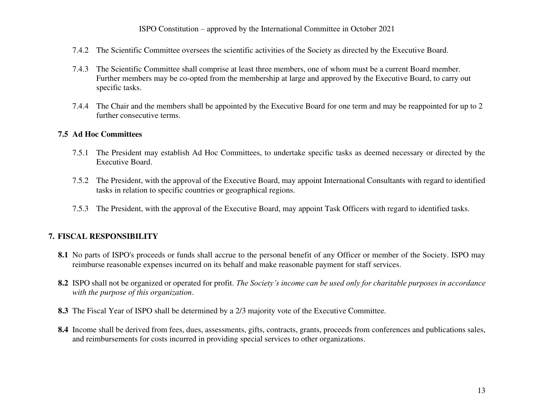- 7.4.2 The Scientific Committee oversees the scientific activities of the Society as directed by the Executive Board.
- 7.4.3 The Scientific Committee shall comprise at least three members, one of whom must be a current Board member. Further members may be co-opted from the membership at large and approved by the Executive Board, to carry out specific tasks.
- 7.4.4 The Chair and the members shall be appointed by the Executive Board for one term and may be reappointed for up to 2 further consecutive terms.

#### **7.5 Ad Hoc Committees**

- 7.5.1 The President may establish Ad Hoc Committees, to undertake specific tasks as deemed necessary or directed by the Executive Board.
- 7.5.2 The President, with the approval of the Executive Board, may appoint International Consultants with regard to identified tasks in relation to specific countries or geographical regions.
- 7.5.3 The President, with the approval of the Executive Board, may appoint Task Officers with regard to identified tasks.

#### <span id="page-12-0"></span>**7. FISCAL RESPONSIBILITY**

- **8.1** No parts of ISPO's proceeds or funds shall accrue to the personal benefit of any Officer or member of the Society. ISPO may reimburse reasonable expenses incurred on its behalf and make reasonable payment for staff services.
- **8.2** ISPO shall not be organized or operated for profit. *The Society's income can be used only for charitable purposes in accordance with the purpose of this organization*.
- **8.3** The Fiscal Year of ISPO shall be determined by a 2/3 majority vote of the Executive Committee.
- **8.4** Income shall be derived from fees, dues, assessments, gifts, contracts, grants, proceeds from conferences and publications sales, and reimbursements for costs incurred in providing special services to other organizations.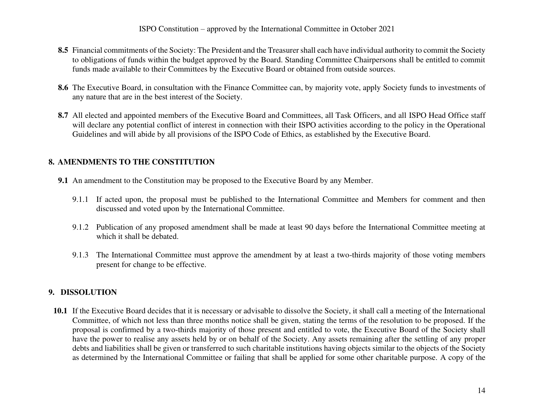- **8.5** Financial commitments of the Society: The President and the Treasurer shall each have individual authority to commit the Society to obligations of funds within the budget approved by the Board. Standing Committee Chairpersons shall be entitled to commit funds made available to their Committees by the Executive Board or obtained from outside sources.
- **8.6** The Executive Board, in consultation with the Finance Committee can, by majority vote, apply Society funds to investments of any nature that are in the best interest of the Society.
- 8.7 All elected and appointed members of the Executive Board and Committees, all Task Officers, and all ISPO Head Office staff will declare any potential conflict of interest in connection with their ISPO activities according to the policy in the Operational Guidelines and will abide by all provisions of the ISPO Code of Ethics, as established by the Executive Board.

## <span id="page-13-0"></span>**8. AMENDMENTS TO THE CONSTITUTION**

- **9.1** An amendment to the Constitution may be proposed to the Executive Board by any Member.
	- 9.1.1 If acted upon, the proposal must be published to the International Committee and Members for comment and then discussed and voted upon by the International Committee.
	- 9.1.2 Publication of any proposed amendment shall be made at least 90 days before the International Committee meeting at which it shall be debated.
	- 9.1.3 The International Committee must approve the amendment by at least a two-thirds majority of those voting members present for change to be effective.

## <span id="page-13-1"></span>**9. DISSOLUTION**

**10.1** If the Executive Board decides that it is necessary or advisable to dissolve the Society, it shall call a meeting of the International Committee, of which not less than three months notice shall be given, stating the terms of the resolution to be proposed. If the proposal is confirmed by a two-thirds majority of those present and entitled to vote, the Executive Board of the Society shall have the power to realise any assets held by or on behalf of the Society. Any assets remaining after the settling of any proper debts and liabilities shall be given or transferred to such charitable institutions having objects similar to the objects of the Society as determined by the International Committee or failing that shall be applied for some other charitable purpose. A copy of the